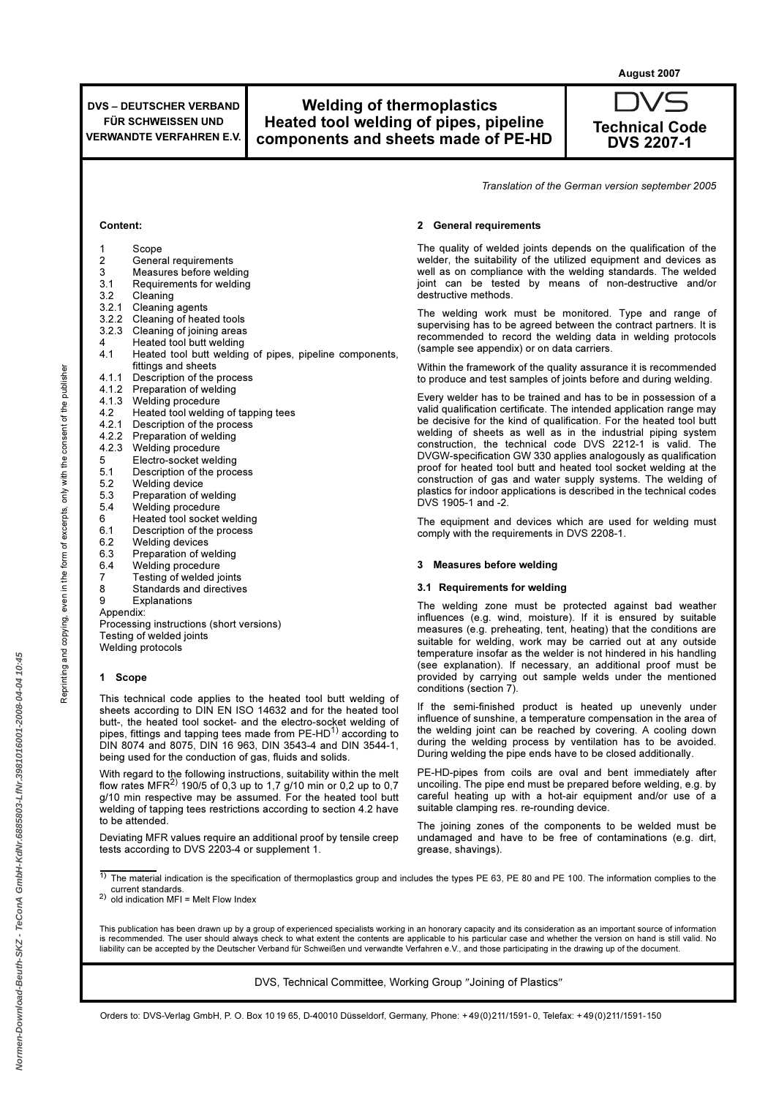August 2007

General requirements 3 Measures before welding<br>3.1 Requirements for welding 3.1 Requirements for welding<br>3.2 Cleaning

Cleaning of heated tools 3.2.3 Cleaning of joining areas 4 Heated tool butt welding<br>4.1 Heated tool butt welding

4.2 Heated tool welding of tapping tees<br>4.2.1 Description of the process Description of the process

Processing instructions (short versions)

This technical code applies to the heated tool butt welding of sheets according to DIN EN ISO 14632 and for the heated tool butt-, the heated tool socket- and the electro-socket welding of pipes, fittings and tapping tees made from  $PE-HD^{1}$  according to DIN 8074 and 8075, DIN 16 963, DIN 3543-4 and DIN 3544-1,

With regard to the following instructions, suitability within the melt flow rates MFR<sup>2)</sup> 190/5 of 0,3 up to 1,7 g/10 min or 0,2 up to 0,7 g/10 min respective may be assumed. For the heated tool butt welding of tapping tees restrictions according to section 4.2 have

Deviating MFR values require an additional proof by tensile creep

being used for the conduction of gas, fluids and solids.

tests according to DVS 2203-4 or supplement 1.

fittings and sheets 4.1.1 Description of the process<br>4.1.2 Preparation of welding Preparation of welding

4.1.3 Welding procedure<br>4.2 Heated tool welding

5.2 Welding device<br>5.3 Preparation of v 5.3 Preparation of welding 5.4 Welding procedure 6 Heated tool socket welding<br>6.1 Description of the process Description of the process

6.2 Welding devices 6.3 Preparation of welding 6.4 Welding procedure<br>7 Testing of welded in 7 Testing of welded joints<br>8 Standards and directives Standards and directives

9 Explanations

Testing of welded joints Welding protocols

Appendix:

1 Scope

to be attended.

4.2.2 Preparation of welding 4.2.3 Welding procedure<br>5 Electro-socket weld 5 Electro-socket welding<br>5.1 Description of the proc 5.1 Description of the process<br>5.2 Welding device

Heated tool butt welding of pipes, pipeline components,

Content:

1 Scope<br>2 Gener

3.2 Cleaning<br>3.2.1 Cleaning 3.2.1 Cleaning agents<br>3.2.2 Cleaning of heat

# Welding of thermoplastics Heated tool welding of pipes, pipeline components and sheets made of PE-HD



Translation of the German version september 2005

### 2 General requirements

The quality of welded joints depends on the qualification of the welder, the suitability of the utilized equipment and devices as well as on compliance with the welding standards. The welded joint can be tested by means of non-destructive and/or destructive methods.

The welding work must be monitored. Type and range of supervising has to be agreed between the contract partners. It is recommended to record the welding data in welding protocols (sample see appendix) or on data carriers.

Within the framework of the quality assurance it is recommended to produce and test samples of joints before and during welding.

Every welder has to be trained and has to be in possession of a valid qualification certificate. The intended application range may be decisive for the kind of qualification. For the heated tool butt welding of sheets as well as in the industrial piping system construction, the technical code DVS 2212-1 is valid. The DVGW-specification GW 330 applies analogously as qualification proof for heated tool butt and heated tool socket welding at the construction of gas and water supply systems. The welding of plastics for indoor applications is described in the technical codes DVS 1905-1 and -2.

The equipment and devices which are used for welding must comply with the requirements in DVS 2208-1.

#### 3 Measures before welding

#### 3.1 Requirements for welding

The welding zone must be protected against bad weather influences (e.g. wind, moisture). If it is ensured by suitable measures (e.g. preheating, tent, heating) that the conditions are suitable for welding, work may be carried out at any outside temperature insofar as the welder is not hindered in his handling (see explanation). If necessary, an additional proof must be provided by carrying out sample welds under the mentioned conditions (section 7).

If the semi-finished product is heated up unevenly under influence of sunshine, a temperature compensation in the area of the welding joint can be reached by covering. A cooling down during the welding process by ventilation has to be avoided. During welding the pipe ends have to be closed additionally.

PE-HD-pipes from coils are oval and bent immediately after uncoiling. The pipe end must be prepared before welding, e.g. by careful heating up with a hot-air equipment and/or use of a suitable clamping res. re-rounding device.

The joining zones of the components to be welded must be undamaged and have to be free of contaminations (e.g. dirt, grease, shavings).

The material indication is the specification of thermoplastics group and includes the types PE 63, PE 80 and PE 100. The information complies to the current standards.

2) old indication MFI = Melt Flow Index

This publication has been drawn up by a group of experienced specialists working in an honorary capacity and its consideration as an important source of information is recommended. The user should always check to what extent the contents are applicable to his particular case and whether the version on hand is still valid. No liability can be accepted by the Deutscher Verband für Schweißen und verwandte Verfahren e.V., and those participating in the drawing up of the document.

DVS, Technical Committee, Working Group ″Joining of Plastics″

Orders to: DVS-Verlag GmbH, P. O. Box 10 19 65, D-40010 Düsseldorf, Germany, Phone: + 49(0)211/1591- 0, Telefax: + 49(0)211/1591-150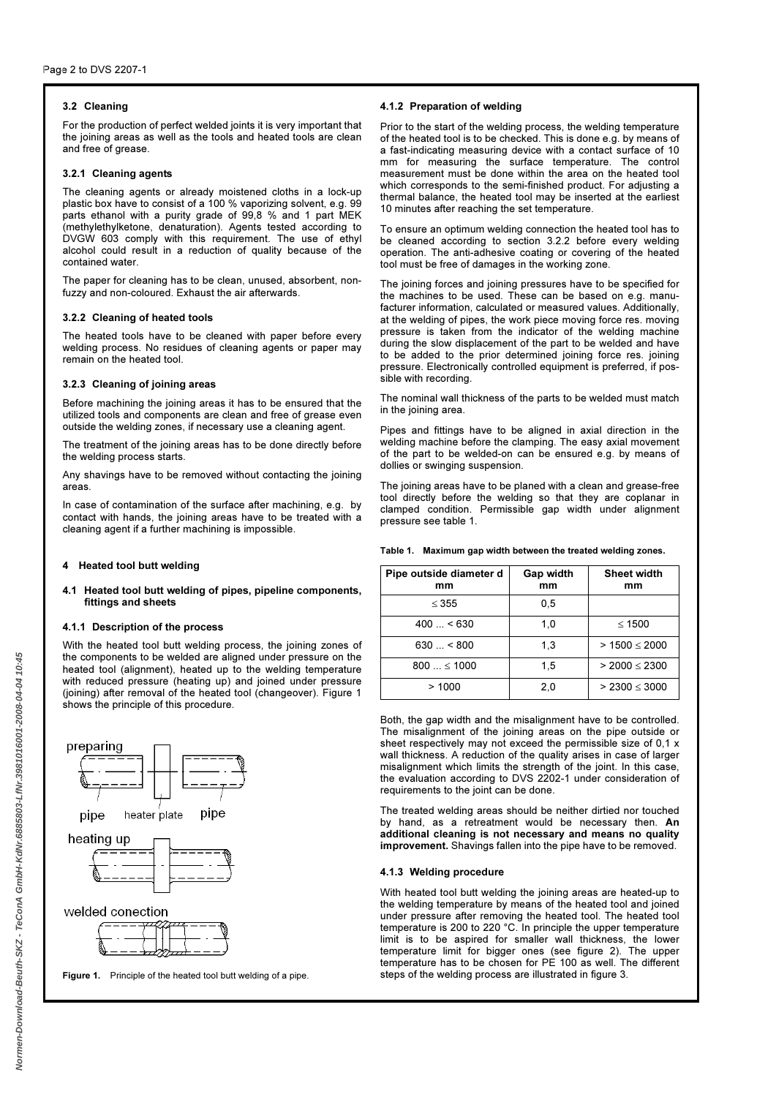# 3.2 Cleaning

For the production of perfect welded joints it is very important that the joining areas as well as the tools and heated tools are clean and free of grease.

#### 3.2.1 Cleaning agents

The cleaning agents or already moistened cloths in a lock-up plastic box have to consist of a 100 % vaporizing solvent, e.g. 99 parts ethanol with a purity grade of 99,8 % and 1 part MEK (methylethylketone, denaturation). Agents tested according to DVGW 603 comply with this requirement. The use of ethyl alcohol could result in a reduction of quality because of the contained water.

The paper for cleaning has to be clean, unused, absorbent, nonfuzzy and non-coloured. Exhaust the air afterwards.

### 3.2.2 Cleaning of heated tools

The heated tools have to be cleaned with paper before every welding process. No residues of cleaning agents or paper may remain on the heated tool.

### 3.2.3 Cleaning of joining areas

Before machining the joining areas it has to be ensured that the utilized tools and components are clean and free of grease even outside the welding zones, if necessary use a cleaning agent.

The treatment of the joining areas has to be done directly before the welding process starts.

Any shavings have to be removed without contacting the joining areas.

In case of contamination of the surface after machining, e.g. by contact with hands, the joining areas have to be treated with a cleaning agent if a further machining is impossible.

## 4 Heated tool butt welding

### 4.1 Heated tool butt welding of pipes, pipeline components, fittings and sheets

### 4.1.1 Description of the process

With the heated tool butt welding process, the joining zones of the components to be welded are aligned under pressure on the heated tool (alignment), heated up to the welding temperature with reduced pressure (heating up) and joined under pressure (joining) after removal of the heated tool (changeover). Figure 1 shows the principle of this procedure.



Figure 1. Principle of the heated tool butt welding of a pipe.

## 4.1.2 Preparation of welding

Prior to the start of the welding process, the welding temperature of the heated tool is to be checked. This is done e.g. by means of a fast-indicating measuring device with a contact surface of 10 mm for measuring the surface temperature. The control measurement must be done within the area on the heated tool which corresponds to the semi-finished product. For adjusting a thermal balance, the heated tool may be inserted at the earliest 10 minutes after reaching the set temperature.

To ensure an optimum welding connection the heated tool has to be cleaned according to section 3.2.2 before every welding operation. The anti-adhesive coating or covering of the heated tool must be free of damages in the working zone.

The joining forces and joining pressures have to be specified for the machines to be used. These can be based on e.g. manufacturer information, calculated or measured values. Additionally, at the welding of pipes, the work piece moving force res. moving pressure is taken from the indicator of the welding machine during the slow displacement of the part to be welded and have to be added to the prior determined joining force res. joining pressure. Electronically controlled equipment is preferred, if possible with recording.

The nominal wall thickness of the parts to be welded must match in the joining area.

Pipes and fittings have to be aligned in axial direction in the welding machine before the clamping. The easy axial movement of the part to be welded-on can be ensured e.g. by means of dollies or swinging suspension.

The joining areas have to be planed with a clean and grease-free tool directly before the welding so that they are coplanar in clamped condition. Permissible gap width under alignment pressure see table 1.

Table 1. Maximum gap width between the treated welding zones.

| Pipe outside diameter d<br>mm | Gap width<br>mm | Sheet width<br>mm  |
|-------------------------------|-----------------|--------------------|
| $\leq$ 355                    | 0,5             |                    |
| $400 - 630$                   | 1,0             | $<$ 1500           |
| $630 - 800$                   | 1,3             | $> 1500 \le 2000$  |
| $800 \le 1000$                | 1,5             | $> 2000 \le 2300$  |
| >1000                         | 2,0             | $> 2300 \leq 3000$ |

Both, the gap width and the misalignment have to be controlled. The misalignment of the joining areas on the pipe outside or sheet respectively may not exceed the permissible size of 0,1 x wall thickness. A reduction of the quality arises in case of larger misalignment which limits the strength of the joint. In this case, the evaluation according to DVS 2202-1 under consideration of requirements to the joint can be done.

The treated welding areas should be neither dirtied nor touched by hand, as a retreatment would be necessary then. An additional cleaning is not necessary and means no quality improvement. Shavings fallen into the pipe have to be removed.

#### 4.1.3 Welding procedure

With heated tool butt welding the joining areas are heated-up to the welding temperature by means of the heated tool and joined under pressure after removing the heated tool. The heated tool temperature is 200 to 220 °C. In principle the upper temperature limit is to be aspired for smaller wall thickness, the lower temperature limit for bigger ones (see figure 2). The upper temperature has to be chosen for PE 100 as well. The different steps of the welding process are illustrated in figure 3.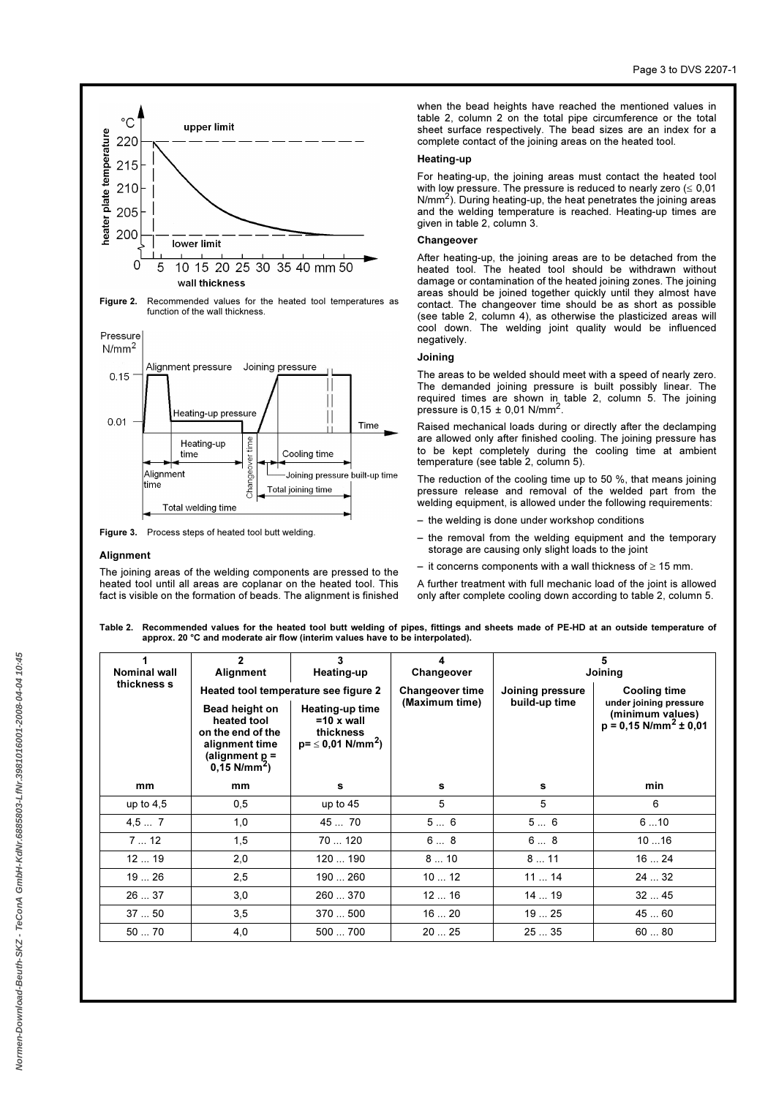

Figure 3. Process steps of heated tool butt welding.

Total welding time

#### **Alianment**

time

The joining areas of the welding components are pressed to the heated tool until all areas are coplanar on the heated tool. This fact is visible on the formation of beads. The alignment is finished

Total joining time

when the bead heights have reached the mentioned values in table 2, column 2 on the total pipe circumference or the total sheet surface respectively. The bead sizes are an index for a complete contact of the joining areas on the heated tool.

#### Heating-up

For heating-up, the joining areas must contact the heated tool with low pressure. The pressure is reduced to nearly zero  $(\leq 0.01)$  $N/mm<sup>2</sup>$ . During heating-up, the heat penetrates the joining areas and the welding temperature is reached. Heating-up times are given in table 2, column 3.

### **Changeover**

After heating-up, the joining areas are to be detached from the heated tool. The heated tool should be withdrawn without damage or contamination of the heated joining zones. The joining areas should be joined together quickly until they almost have contact. The changeover time should be as short as possible (see table 2, column 4), as otherwise the plasticized areas will cool down. The welding joint quality would be influenced negatively.

### Joining

The areas to be welded should meet with a speed of nearly zero. The demanded joining pressure is built possibly linear. The required times are shown in table 2, column 5. The joining pressure is  $0.15 \pm 0.01$  N/mm<sup>2</sup>.

Raised mechanical loads during or directly after the declamping are allowed only after finished cooling. The joining pressure has to be kept completely during the cooling time at ambient temperature (see table 2, column 5).

The reduction of the cooling time up to 50 %, that means joining pressure release and removal of the welded part from the welding equipment, is allowed under the following requirements:

- the welding is done under workshop conditions
- the removal from the welding equipment and the temporary storage are causing only slight loads to the joint
- it concerns components with a wall thickness of  $\geq 15$  mm.

A further treatment with full mechanic load of the joint is allowed only after complete cooling down according to table 2, column 5.

Table 2. Recommended values for the heated tool butt welding of pipes, fittings and sheets made of PE-HD at an outside temperature of approx. 20 °C and moderate air flow (interim values have to be interpolated).

| Nominal wall | $\mathbf{2}$<br>Alignment                                                                                              | 3<br>Heating-up                                                                          | Changeover             | 5<br>Joining     |                                                                                   |  |  |
|--------------|------------------------------------------------------------------------------------------------------------------------|------------------------------------------------------------------------------------------|------------------------|------------------|-----------------------------------------------------------------------------------|--|--|
| thickness s  |                                                                                                                        | Heated tool temperature see figure 2                                                     | <b>Changeover time</b> | Joining pressure | <b>Cooling time</b>                                                               |  |  |
|              | Bead height on<br>heated tool<br>on the end of the<br>alignment time<br>(alignment $p =$<br>$0.15$ N/mm <sup>2</sup> ) | Heating-up time<br>$=10 \times$ wall<br>thickness<br>$p = \leq 0.01$ N/mm <sup>2</sup> ) | (Maximum time)         | build-up time    | under joining pressure<br>(minimum values)<br>$p = 0,15$ N/mm <sup>2</sup> ± 0.01 |  |  |
| mm           | mm                                                                                                                     | s                                                                                        | s                      | s                | min                                                                               |  |  |
| up to $4,5$  | 0,5                                                                                                                    | up to $45$                                                                               | 5                      | 5                | 6                                                                                 |  |  |
| 4,57         | 1,0                                                                                                                    | 45  70                                                                                   | 56                     | 56               | 610                                                                               |  |  |
| 712          | 1,5                                                                                                                    | 70120                                                                                    | 68                     | 68               | 1016                                                                              |  |  |
| 1219         | 2,0                                                                                                                    | 120  190                                                                                 | 810                    | 811              | 1624                                                                              |  |  |
| 1926         | 2,5                                                                                                                    | 190  260                                                                                 | 1012                   | 1114             | 2432                                                                              |  |  |
| 2637         | 3,0                                                                                                                    | 260  370                                                                                 | 1216                   | 1419             | 3245                                                                              |  |  |
| 3750         | 3,5                                                                                                                    | 370  500                                                                                 | 1620                   | 1925             | 4560                                                                              |  |  |
| 5070         | 4,0                                                                                                                    | 500  700                                                                                 | 2025                   | 2535             | 6080                                                                              |  |  |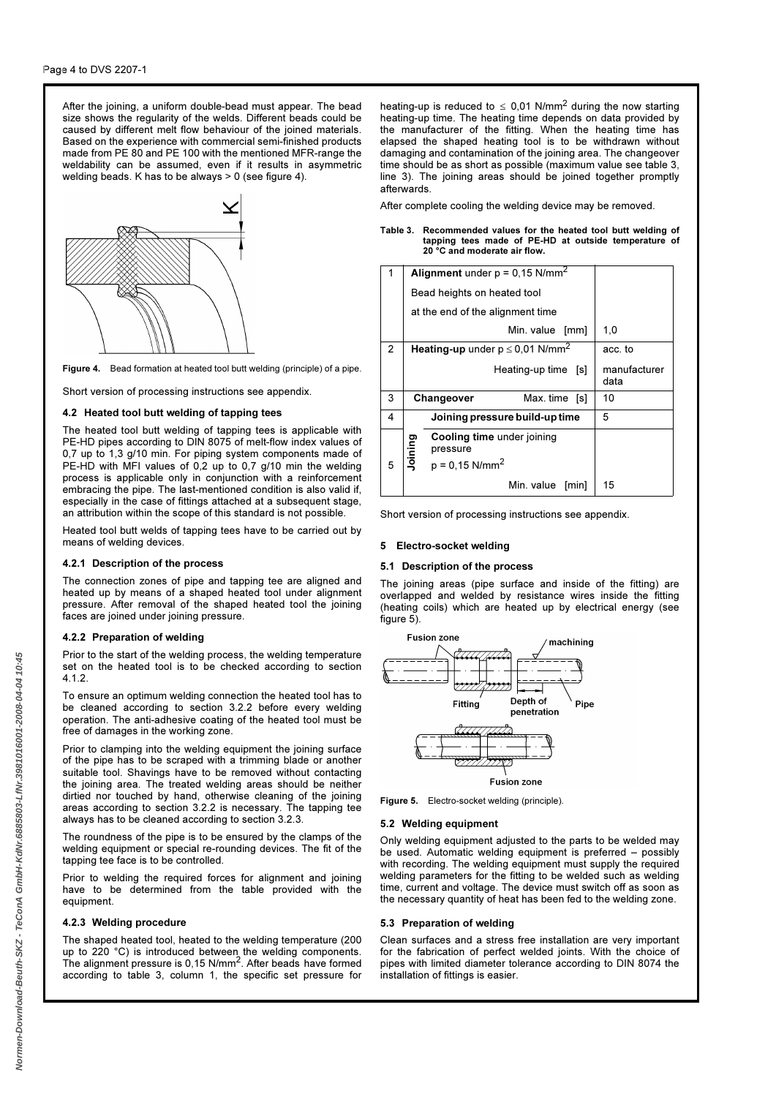After the joining, a uniform double-bead must appear. The bead size shows the regularity of the welds. Different beads could be caused by different melt flow behaviour of the joined materials. Based on the experience with commercial semi-finished products made from PE 80 and PE 100 with the mentioned MFR-range the weldability can be assumed, even if it results in asymmetric welding beads. K has to be always > 0 (see figure 4).



Figure 4. Bead formation at heated tool butt welding (principle) of a pipe.

Short version of processing instructions see appendix.

### 4.2 Heated tool butt welding of tapping tees

The heated tool butt welding of tapping tees is applicable with PE-HD pipes according to DIN 8075 of melt-flow index values of 0,7 up to 1,3 g/10 min. For piping system components made of PE-HD with MFI values of 0,2 up to 0,7 g/10 min the welding process is applicable only in conjunction with a reinforcement embracing the pipe. The last-mentioned condition is also valid if, especially in the case of fittings attached at a subsequent stage, an attribution within the scope of this standard is not possible.

Heated tool butt welds of tapping tees have to be carried out by means of welding devices.

### 4.2.1 Description of the process

The connection zones of pipe and tapping tee are aligned and heated up by means of a shaped heated tool under alignment pressure. After removal of the shaped heated tool the joining faces are joined under joining pressure.

#### 4.2.2 Preparation of welding

Prior to the start of the welding process, the welding temperature set on the heated tool is to be checked according to section 4.1.2.

To ensure an optimum welding connection the heated tool has to be cleaned according to section 3.2.2 before every welding operation. The anti-adhesive coating of the heated tool must be free of damages in the working zone.

Prior to clamping into the welding equipment the joining surface of the pipe has to be scraped with a trimming blade or another suitable tool. Shavings have to be removed without contacting the joining area. The treated welding areas should be neither dirtied nor touched by hand, otherwise cleaning of the joining areas according to section 3.2.2 is necessary. The tapping tee always has to be cleaned according to section 3.2.3.

The roundness of the pipe is to be ensured by the clamps of the welding equipment or special re-rounding devices. The fit of the tapping tee face is to be controlled.

Prior to welding the required forces for alignment and joining have to be determined from the table provided with the equipment.

#### 4.2.3 Welding procedure

The shaped heated tool, heated to the welding temperature (200 up to 220 °C) is introduced between the welding components.<br>The alignment pressure is 0,15 N/mm<sup>2</sup>. After beads have formed according to table 3, column 1, the specific set pressure for heating-up is reduced to  $\leq$  0,01 N/mm<sup>2</sup> during the now starting heating-up time. The heating time depends on data provided by the manufacturer of the fitting. When the heating time has elapsed the shaped heating tool is to be withdrawn without damaging and contamination of the joining area. The changeover time should be as short as possible (maximum value see table 3, line 3). The joining areas should be joined together promptly afterwards.

After complete cooling the welding device may be removed.

#### Table 3. Recommended values for the heated tool butt welding of tapping tees made of PE-HD at outside temperature of 20 °C and moderate air flow.

| 1              |         | Alignment under $p = 0.15$ N/mm <sup>2</sup>           |                      |
|----------------|---------|--------------------------------------------------------|----------------------|
|                |         | Bead heights on heated tool                            |                      |
|                |         | at the end of the alignment time                       |                      |
|                |         | Min. value [mm]                                        | 1,0                  |
| $\overline{2}$ |         | <b>Heating-up</b> under $p \le 0.01$ N/mm <sup>2</sup> | acc. to              |
|                |         | Heating-up time [s]                                    | manufacturer<br>data |
| 3              |         | Changeover<br>Max.time [s]                             | 10                   |
| 4              |         | Joining pressure build-up time                         | 5                    |
|                | Joining | Cooling time under joining<br>pressure                 |                      |
| 5              |         | $p = 0,15$ N/mm <sup>2</sup>                           |                      |
|                |         | Min. value<br>[min]                                    | 15                   |

Short version of processing instructions see appendix.

### 5 Electro-socket welding

### 5.1 Description of the process

The joining areas (pipe surface and inside of the fitting) are overlapped and welded by resistance wires inside the fitting (heating coils) which are heated up by electrical energy (see figure  $5$ ).



Figure 5. Electro-socket welding (principle).

#### 5.2 Welding equipment

Only welding equipment adjusted to the parts to be welded may be used. Automatic welding equipment is preferred – possibly with recording. The welding equipment must supply the required welding parameters for the fitting to be welded such as welding time, current and voltage. The device must switch off as soon as the necessary quantity of heat has been fed to the welding zone.

#### 5.3 Preparation of welding

Clean surfaces and a stress free installation are very important for the fabrication of perfect welded joints. With the choice of pipes with limited diameter tolerance according to DIN 8074 the installation of fittings is easier.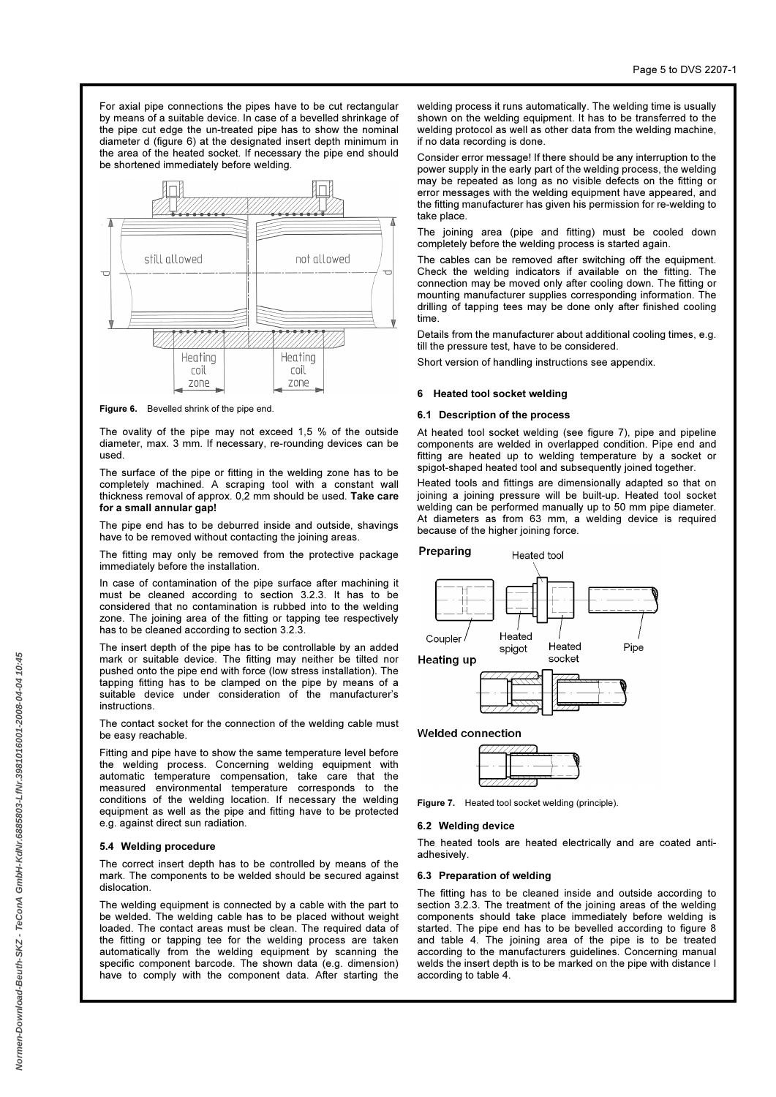For axial pipe connections the pipes have to be cut rectangular by means of a suitable device. In case of a bevelled shrinkage of the pipe cut edge the un-treated pipe has to show the nominal diameter d (figure 6) at the designated insert depth minimum in the area of the heated socket. If necessary the pipe end should be shortened immediately before welding.



Figure 6. Bevelled shrink of the pipe end.

The ovality of the pipe may not exceed 1,5 % of the outside diameter, max. 3 mm. If necessary, re-rounding devices can be used.

The surface of the pipe or fitting in the welding zone has to be completely machined. A scraping tool with a constant wall thickness removal of approx. 0,2 mm should be used. Take care for a small annular gap!

The pipe end has to be deburred inside and outside, shavings have to be removed without contacting the joining areas.

The fitting may only be removed from the protective package immediately before the installation.

In case of contamination of the pipe surface after machining it must be cleaned according to section 3.2.3. It has to be considered that no contamination is rubbed into to the welding zone. The joining area of the fitting or tapping tee respectively has to be cleaned according to section 3.2.3.

The insert depth of the pipe has to be controllable by an added mark or suitable device. The fitting may neither be tilted nor pushed onto the pipe end with force (low stress installation). The tapping fitting has to be clamped on the pipe by means of a suitable device under consideration of the manufacturer's instructions.

The contact socket for the connection of the welding cable must be easy reachable.

Fitting and pipe have to show the same temperature level before the welding process. Concerning welding equipment with automatic temperature compensation, take care that the measured environmental temperature corresponds to the conditions of the welding location. If necessary the welding equipment as well as the pipe and fitting have to be protected e.g. against direct sun radiation.

#### 5.4 Welding procedure

The correct insert depth has to be controlled by means of the mark. The components to be welded should be secured against dislocation.

The welding equipment is connected by a cable with the part to be welded. The welding cable has to be placed without weight loaded. The contact areas must be clean. The required data of the fitting or tapping tee for the welding process are taken automatically from the welding equipment by scanning the specific component barcode. The shown data (e.g. dimension) have to comply with the component data. After starting the welding process it runs automatically. The welding time is usually shown on the welding equipment. It has to be transferred to the welding protocol as well as other data from the welding machine, if no data recording is done.

Consider error message! If there should be any interruption to the power supply in the early part of the welding process, the welding may be repeated as long as no visible defects on the fitting or error messages with the welding equipment have appeared, and the fitting manufacturer has given his permission for re-welding to take place.

The joining area (pipe and fitting) must be cooled down completely before the welding process is started again.

The cables can be removed after switching off the equipment. Check the welding indicators if available on the fitting. The connection may be moved only after cooling down. The fitting or mounting manufacturer supplies corresponding information. The drilling of tapping tees may be done only after finished cooling time.

Details from the manufacturer about additional cooling times, e.g. till the pressure test, have to be considered.

Short version of handling instructions see appendix.

### 6 Heated tool socket welding

#### 6.1 Description of the process

At heated tool socket welding (see figure 7), pipe and pipeline components are welded in overlapped condition. Pipe end and fitting are heated up to welding temperature by a socket or spigot-shaped heated tool and subsequently joined together.

Heated tools and fittings are dimensionally adapted so that on joining a joining pressure will be built-up. Heated tool socket welding can be performed manually up to 50 mm pipe diameter. At diameters as from 63 mm, a welding device is required because of the higher joining force.



Figure 7. Heated tool socket welding (principle).

#### 6.2 Welding device

The heated tools are heated electrically and are coated antiadhesively.

### 6.3 Preparation of welding

The fitting has to be cleaned inside and outside according to section 3.2.3. The treatment of the joining areas of the welding components should take place immediately before welding is started. The pipe end has to be bevelled according to figure 8 and table 4. The joining area of the pipe is to be treated according to the manufacturers guidelines. Concerning manual welds the insert depth is to be marked on the pipe with distance I according to table 4.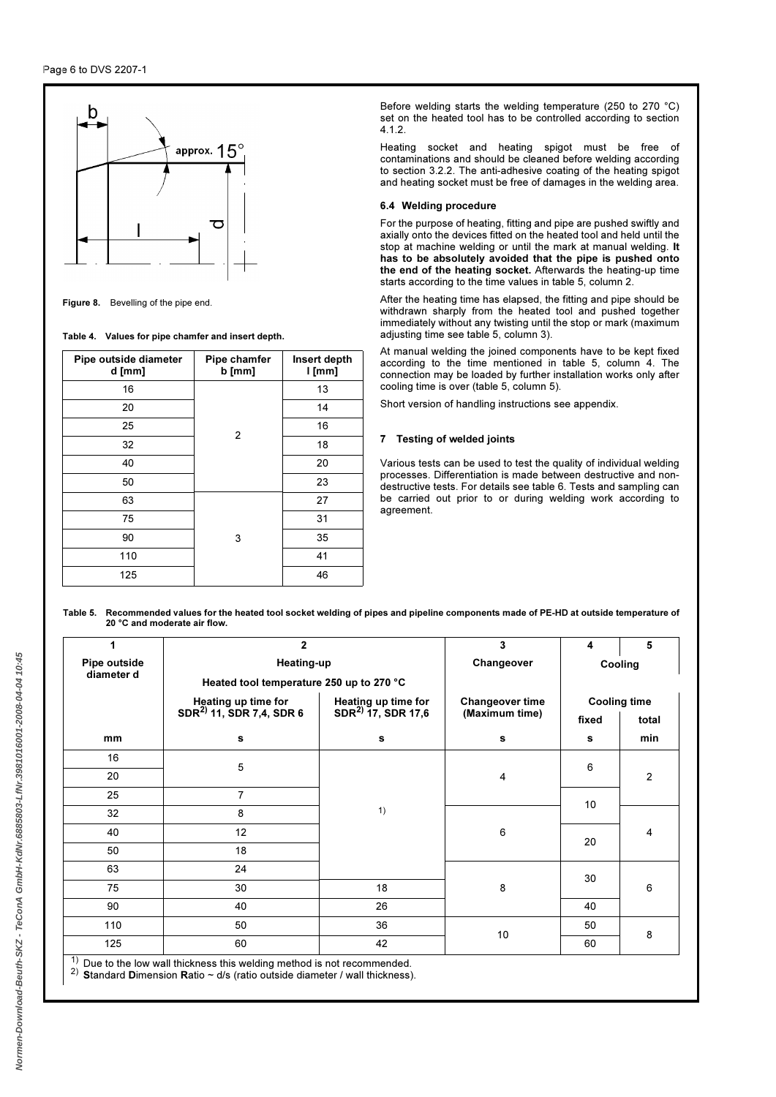# Page 6 to DVS 2207-1



Figure 8. Bevelling of the pipe end.

Table 4. Values for pipe chamfer and insert depth.

| Pipe outside diameter<br>d [mm] | Pipe chamfer<br>$b$ [mm] | Insert depth<br>$l$ [mm] |
|---------------------------------|--------------------------|--------------------------|
| 16                              |                          | 13                       |
| 20                              |                          | 14                       |
| 25                              | 2                        | 16                       |
| 32                              |                          | 18                       |
| 40                              |                          | 20                       |
| 50                              |                          | 23                       |
| 63                              |                          | 27                       |
| 75                              |                          | 31                       |
| 90                              | 3                        | 35                       |
| 110                             |                          | 41                       |
| 125                             |                          | 46                       |

Before welding starts the welding temperature (250 to 270 °C) set on the heated tool has to be controlled according to section 4.1.2.

Heating socket and heating spigot must be free of contaminations and should be cleaned before welding according to section 3.2.2. The anti-adhesive coating of the heating spigot and heating socket must be free of damages in the welding area.

### 6.4 Welding procedure

For the purpose of heating, fitting and pipe are pushed swiftly and axially onto the devices fitted on the heated tool and held until the stop at machine welding or until the mark at manual welding. It has to be absolutely avoided that the pipe is pushed onto the end of the heating socket. Afterwards the heating-up time starts according to the time values in table 5, column 2.

After the heating time has elapsed, the fitting and pipe should be withdrawn sharply from the heated tool and pushed together immediately without any twisting until the stop or mark (maximum adjusting time see table 5, column 3).

At manual welding the joined components have to be kept fixed according to the time mentioned in table 5, column 4. The connection may be loaded by further installation works only after cooling time is over (table 5, column 5).

Short version of handling instructions see appendix.

# 7 Testing of welded joints

Various tests can be used to test the quality of individual welding processes. Differentiation is made between destructive and nondestructive tests. For details see table 6. Tests and sampling can be carried out prior to or during welding work according to agreement.

Table 5. Recommended values for the heated tool socket welding of pipes and pipeline components made of PE-HD at outside temperature of 20 °C and moderate air flow.

| 1            | $\overline{2}$                                                                  |                                                      | 3                      | 4       | 5                   |  |
|--------------|---------------------------------------------------------------------------------|------------------------------------------------------|------------------------|---------|---------------------|--|
| Pipe outside | Heating-up                                                                      |                                                      | Changeover             | Cooling |                     |  |
| diameter d   | Heated tool temperature 250 up to 270 °C                                        |                                                      |                        |         |                     |  |
|              | <b>Heating up time for</b>                                                      | Heating up time for<br>SDR <sup>2</sup> 17, SDR 17,6 | <b>Changeover time</b> |         | <b>Cooling time</b> |  |
|              | SDR <sup>2)</sup> 11, SDR 7,4, SDR 6                                            |                                                      | (Maximum time)         | fixed   | total               |  |
| mm           | s                                                                               | s                                                    | s                      | s       | min                 |  |
| 16           |                                                                                 |                                                      |                        |         |                     |  |
| 20           | 5                                                                               |                                                      | 4                      | 6       | $\overline{2}$      |  |
| 25           | $\overline{7}$                                                                  |                                                      |                        | 10      |                     |  |
| 32           | 8                                                                               | 1)                                                   |                        |         |                     |  |
| 40           | 12                                                                              |                                                      | 6                      |         | 4                   |  |
| 50           | 18                                                                              |                                                      |                        | 20      |                     |  |
| 63           | 24                                                                              |                                                      |                        |         |                     |  |
| 75           | 30                                                                              | 18                                                   | 8                      | 30      | 6                   |  |
| 90           | 40                                                                              | 26                                                   |                        | 40      |                     |  |
| 110          | 50                                                                              | 36                                                   |                        | 50      |                     |  |
| 125          | 60                                                                              | 42                                                   | 10                     | 60      | 8                   |  |
|              | $\alpha$ ) Due to the low wall thickness this welding method is not recommended |                                                      |                        |         |                     |  |

<sup>1)</sup> Due to the low wall thickness this welding method is not recommended.<br><sup>2)</sup> Standard Dimension Ratio ~ d/s (ratio outside diameter / wall thickness).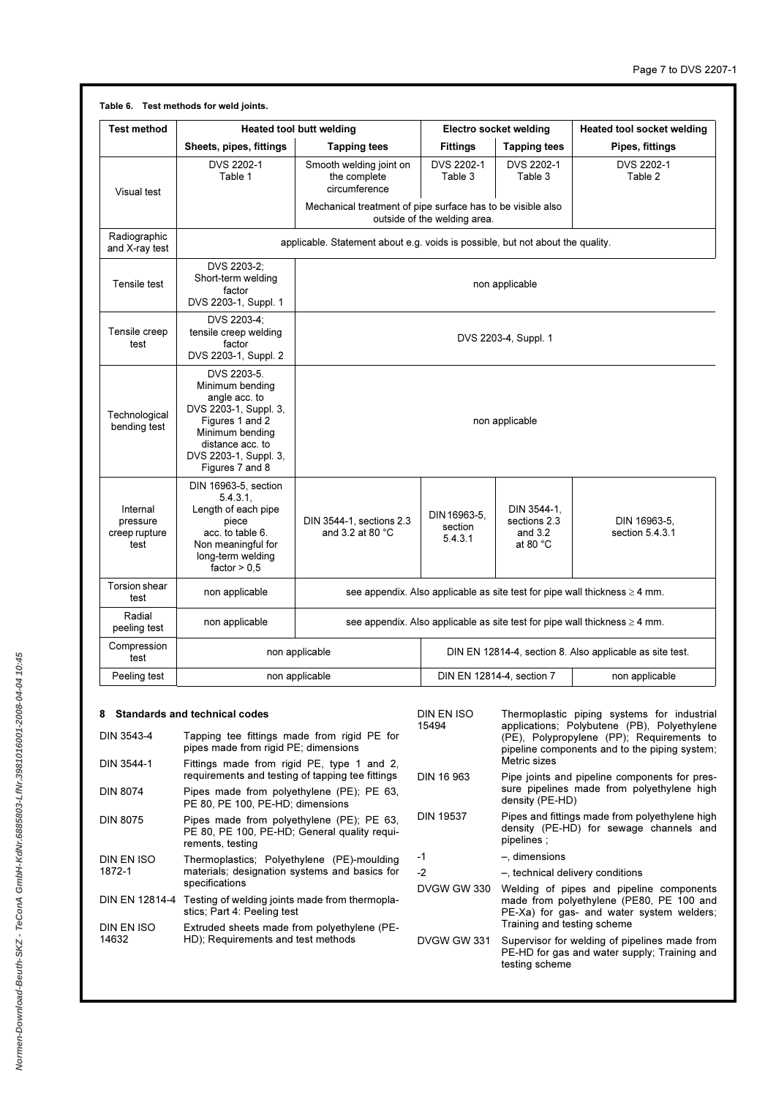| <b>Test method</b>                                                                                                                                                                                |                                                                                                                                                                                | Heated tool butt welding                                                       |                                                                            | Electro socket welding                                         | Heated tool socket welding                                                                                                                                                               |  |  |
|---------------------------------------------------------------------------------------------------------------------------------------------------------------------------------------------------|--------------------------------------------------------------------------------------------------------------------------------------------------------------------------------|--------------------------------------------------------------------------------|----------------------------------------------------------------------------|----------------------------------------------------------------|------------------------------------------------------------------------------------------------------------------------------------------------------------------------------------------|--|--|
|                                                                                                                                                                                                   | Sheets, pipes, fittings                                                                                                                                                        | <b>Tapping tees</b>                                                            | <b>Fittings</b>                                                            | <b>Tapping tees</b>                                            | Pipes, fittings                                                                                                                                                                          |  |  |
| Visual test                                                                                                                                                                                       | DVS 2202-1<br>Table 1                                                                                                                                                          | Smooth welding joint on<br>the complete<br>circumference                       | DVS 2202-1<br>Table 3                                                      | DVS 2202-1<br>Table 3                                          | DVS 2202-1<br>Table 2                                                                                                                                                                    |  |  |
|                                                                                                                                                                                                   |                                                                                                                                                                                | Mechanical treatment of pipe surface has to be visible also                    | outside of the welding area.                                               |                                                                |                                                                                                                                                                                          |  |  |
| Radiographic<br>and X-ray test                                                                                                                                                                    |                                                                                                                                                                                | applicable. Statement about e.g. voids is possible, but not about the quality. |                                                                            |                                                                |                                                                                                                                                                                          |  |  |
| Tensile test                                                                                                                                                                                      | DVS 2203-2:<br>Short-term welding<br>factor<br>DVS 2203-1, Suppl. 1                                                                                                            |                                                                                |                                                                            | non applicable                                                 |                                                                                                                                                                                          |  |  |
| Tensile creep<br>test                                                                                                                                                                             | DVS 2203-4;<br>tensile creep welding<br>factor<br>DVS 2203-1, Suppl. 2                                                                                                         |                                                                                |                                                                            | DVS 2203-4, Suppl. 1                                           |                                                                                                                                                                                          |  |  |
| Technological<br>bending test                                                                                                                                                                     | DVS 2203-5.<br>Minimum bending<br>angle acc. to<br>DVS 2203-1, Suppl. 3,<br>Figures 1 and 2<br>Minimum bending<br>distance acc. to<br>DVS 2203-1, Suppl. 3,<br>Figures 7 and 8 | non applicable                                                                 |                                                                            |                                                                |                                                                                                                                                                                          |  |  |
| DIN 16963-5, section<br>5.4.3.1<br>Length of each pipe<br>Internal<br>piece<br>pressure<br>acc. to table 6.<br>creep rupture<br>test<br>Non meaningful for<br>long-term welding<br>factor $> 0.5$ |                                                                                                                                                                                | DIN 3544-1, sections 2.3<br>and 3.2 at 80 $^{\circ}$ C                         | DIN 16963-5,<br>section<br>5.4.3.1                                         | DIN 3544-1,<br>sections 2.3<br>and $3.2$<br>at 80 $^{\circ}$ C | DIN 16963-5,<br>section 5.4.3.1                                                                                                                                                          |  |  |
| Torsion shear<br>test                                                                                                                                                                             | non applicable                                                                                                                                                                 |                                                                                |                                                                            |                                                                | see appendix. Also applicable as site test for pipe wall thickness $\geq 4$ mm.                                                                                                          |  |  |
| Radial<br>peeling test                                                                                                                                                                            | non applicable                                                                                                                                                                 |                                                                                | see appendix. Also applicable as site test for pipe wall thickness ≥ 4 mm. |                                                                |                                                                                                                                                                                          |  |  |
| Compression<br>test                                                                                                                                                                               |                                                                                                                                                                                | non applicable                                                                 | DIN EN 12814-4, section 8. Also applicable as site test.                   |                                                                |                                                                                                                                                                                          |  |  |
| Peeling test                                                                                                                                                                                      |                                                                                                                                                                                | non applicable                                                                 |                                                                            | DIN EN 12814-4, section 7                                      | non applicable                                                                                                                                                                           |  |  |
| 8<br>DIN 3543-4                                                                                                                                                                                   | <b>Standards and technical codes</b><br>Tapping tee fittings made from rigid PE for<br>pipes made from rigid PE; dimensions                                                    |                                                                                | DIN EN ISO<br>15494                                                        | Metric sizes                                                   | Thermoplastic piping systems for industrial<br>applications; Polybutene (PB), Polyethylene<br>(PE), Polypropylene (PP); Requirements to<br>pipeline components and to the piping system; |  |  |
| DIN 3544-1<br><b>DIN 8074</b>                                                                                                                                                                     | Fittings made from rigid PE, type 1 and 2,<br>requirements and testing of tapping tee fittings<br>Pines made from nolvethylene (PF): PF 63                                     |                                                                                | DIN 16 963                                                                 |                                                                | Pipe joints and pipeline components for pres-<br>sure pipelines made from polyethylene high                                                                                              |  |  |

DIN 8074 Pipes made from polyethylene (PE); PE 63, PE 80, PE 100, PE-HD; dimensions DIN 8075 Pipes made from polyethylene (PE); PE 63, PE 80, PE 100, PE-HD; General quality requirements, testing DIN EN ISO 1872-1 Thermoplastics; Polyethylene (PE)-moulding materials; designation systems and basics for specifications DIN EN 12814-4 Testing of welding joints made from thermoplastics; Part 4: Peeling test DIN EN ISO 14632 Extruded sheets made from polyethylene (P HD); Requirements and test methods

| for<br>2,  | DIN EN ISO<br>15494 | Thermoplastic piping systems for industrial<br>applications; Polybutene (PB), Polyethylene<br>(PE), Polypropylene (PP); Requirements to<br>pipeline components and to the piping system;<br>Metric sizes |
|------------|---------------------|----------------------------------------------------------------------------------------------------------------------------------------------------------------------------------------------------------|
| gs<br>33.  | DIN 16 963          | Pipe joints and pipeline components for pres-<br>sure pipelines made from polyethylene high<br>density (PE-HD)                                                                                           |
| 33.<br>ui- | <b>DIN 19537</b>    | Pipes and fittings made from polyethylene high<br>density (PE-HD) for sewage channels and<br>pipelines;                                                                                                  |
| ing        | -1                  | $-$ , dimensions                                                                                                                                                                                         |
| for        | $-2$                | -, technical delivery conditions                                                                                                                                                                         |
| -la        | DVGW GW 330         | Welding of pipes and pipeline components<br>made from polyethylene (PE80, PE 100 and<br>PE-Xa) for gas- and water system welders;<br>Training and testing scheme                                         |
| P-         | DVGW GW 331         | Supervisor for welding of pipelines made from<br>PE-HD for gas and water supply; Training and<br>testing scheme                                                                                          |
|            |                     |                                                                                                                                                                                                          |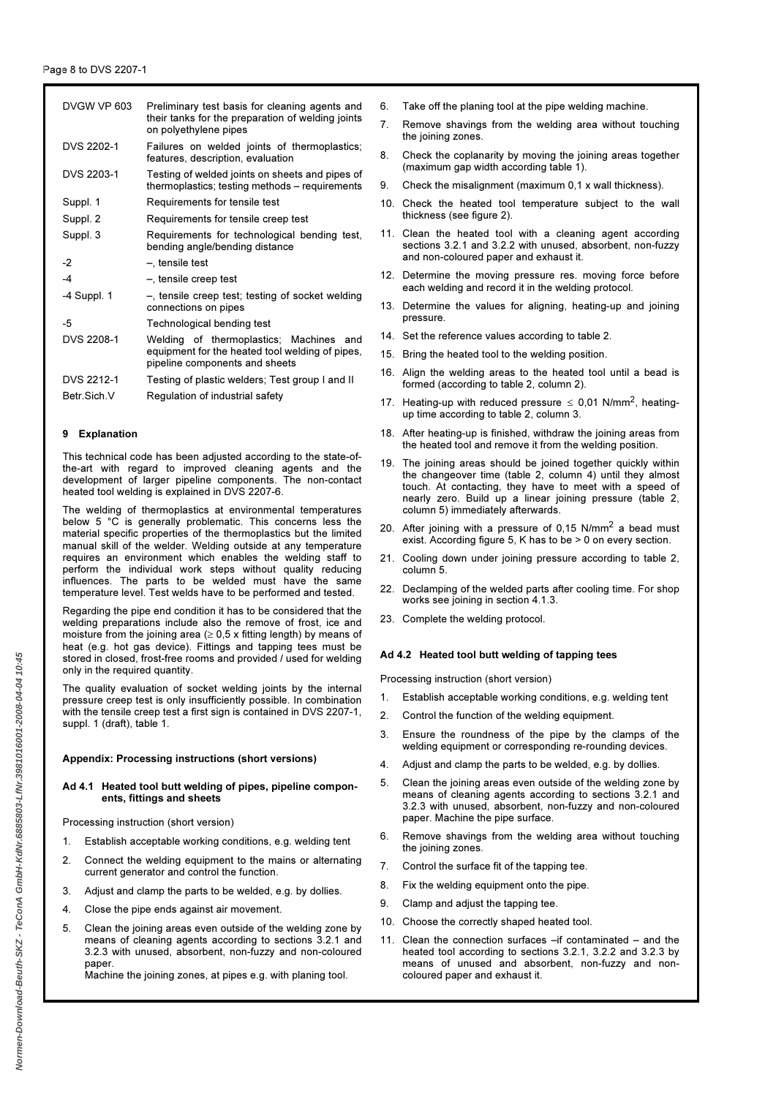| DVGW VP 603        | Preliminary test basis for cleaning agents and<br>their tanks for the preparation of welding joints<br>on polyethylene pipes |
|--------------------|------------------------------------------------------------------------------------------------------------------------------|
| DVS 2202-1         | Failures on welded joints of thermoplastics;<br>features, description, evaluation                                            |
| DVS 2203-1         | Testing of welded joints on sheets and pipes of<br>thermoplastics; testing methods - requirements                            |
| Suppl. 1           | Requirements for tensile test                                                                                                |
| Suppl. 2           | Requirements for tensile creep test                                                                                          |
| Suppl. 3           | Requirements for technological bending test,<br>bending angle/bending distance                                               |
| -2                 | -, tensile test                                                                                                              |
| -4                 | -, tensile creep test                                                                                                        |
| -4 Suppl. 1        | $-$ , tensile creep test; testing of socket welding<br>connections on pipes                                                  |
| -5                 | Technological bending test                                                                                                   |
| <b>DVS 2208-1</b>  | Welding of thermoplastics; Machines and<br>equipment for the heated tool welding of pipes.<br>pipeline components and sheets |
| DVS 2212-1         | Testing of plastic welders; Test group I and II                                                                              |
| <b>Betr Sich V</b> | Regulation of industrial safety                                                                                              |

### 9 Explanation

This technical code has been adjusted according to the state-ofthe-art with regard to improved cleaning agents and the development of larger pipeline components. The non-contact heated tool welding is explained in DVS 2207-6.

The welding of thermoplastics at environmental temperatures below 5 °C is generally problematic. This concerns less the material specific properties of the thermoplastics but the limited manual skill of the welder. Welding outside at any temperature requires an environment which enables the welding staff to perform the individual work steps without quality reducing influences. The parts to be welded must have the same temperature level. Test welds have to be performed and tested.

Regarding the pipe end condition it has to be considered that the welding preparations include also the remove of frost, ice and moisture from the joining area ( $\geq$  0,5 x fitting length) by means of heat (e.g. hot gas device). Fittings and tapping tees must be stored in closed, frost-free rooms and provided / used for welding only in the required quantity.

The quality evaluation of socket welding joints by the internal pressure creep test is only insufficiently possible. In combination with the tensile creep test a first sign is contained in DVS 2207-1, suppl. 1 (draft), table 1.

### Appendix: Processing instructions (short versions)

### Ad 4.1 Heated tool butt welding of pipes, pipeline components, fittings and sheets

Processing instruction (short version)

- 1. Establish acceptable working conditions, e.g. welding tent
- 2. Connect the welding equipment to the mains or alternating current generator and control the function.
- 3. Adjust and clamp the parts to be welded, e.g. by dollies.
- 4. Close the pipe ends against air movement.
- 5. Clean the joining areas even outside of the welding zone by means of cleaning agents according to sections 3.2.1 and 3.2.3 with unused, absorbent, non-fuzzy and non-coloured paper.

Machine the joining zones, at pipes e.g. with planing tool.

- 6. Take off the planing tool at the pipe welding machine.
- 7. Remove shavings from the welding area without touching the joining zones.
- 8. Check the coplanarity by moving the joining areas together (maximum gap width according table 1).
- 9. Check the misalignment (maximum 0,1 x wall thickness).
- 10. Check the heated tool temperature subject to the wall thickness (see figure 2).
- 11. Clean the heated tool with a cleaning agent according sections 3.2.1 and 3.2.2 with unused, absorbent, non-fuzzy and non-coloured paper and exhaust it.
- 12. Determine the moving pressure res. moving force before each welding and record it in the welding protocol.
- 13. Determine the values for aligning, heating-up and joining pressure.
- 14. Set the reference values according to table 2.
- 15. Bring the heated tool to the welding position.
- 16. Align the welding areas to the heated tool until a bead is formed (according to table 2, column 2).
- 17. Heating-up with reduced pressure  $\leq$  0,01 N/mm<sup>2</sup>, heatingup time according to table 2, column 3.
- 18. After heating-up is finished, withdraw the joining areas from the heated tool and remove it from the welding position.
- 19. The joining areas should be joined together quickly within the changeover time (table 2, column 4) until they almost touch. At contacting, they have to meet with a speed of nearly zero. Build up a linear joining pressure (table 2, column 5) immediately afterwards.
- 20. After joining with a pressure of  $0,15$  N/mm<sup>2</sup> a bead must exist. According figure 5, K has to be > 0 on every section.
- 21. Cooling down under joining pressure according to table 2, column 5.
- 22. Declamping of the welded parts after cooling time. For shop works see joining in section 4.1.3.
- 23. Complete the welding protocol.

### Ad 4.2 Heated tool butt welding of tapping tees

Processing instruction (short version)

- 1. Establish acceptable working conditions, e.g. welding tent
- 2. Control the function of the welding equipment.
- 3. Ensure the roundness of the pipe by the clamps of the welding equipment or corresponding re-rounding devices.
- 4. Adjust and clamp the parts to be welded, e.g. by dollies.
- 5. Clean the joining areas even outside of the welding zone by means of cleaning agents according to sections 3.2.1 and 3.2.3 with unused, absorbent, non-fuzzy and non-coloured paper. Machine the pipe surface.
- 6. Remove shavings from the welding area without touching the joining zones.
- 7. Control the surface fit of the tapping tee.
- 8. Fix the welding equipment onto the pipe.
- 9. Clamp and adjust the tapping tee.
- 10. Choose the correctly shaped heated tool.
- 11. Clean the connection surfaces –if contaminated and the heated tool according to sections 3.2.1, 3.2.2 and 3.2.3 by means of unused and absorbent, non-fuzzy and noncoloured paper and exhaust it.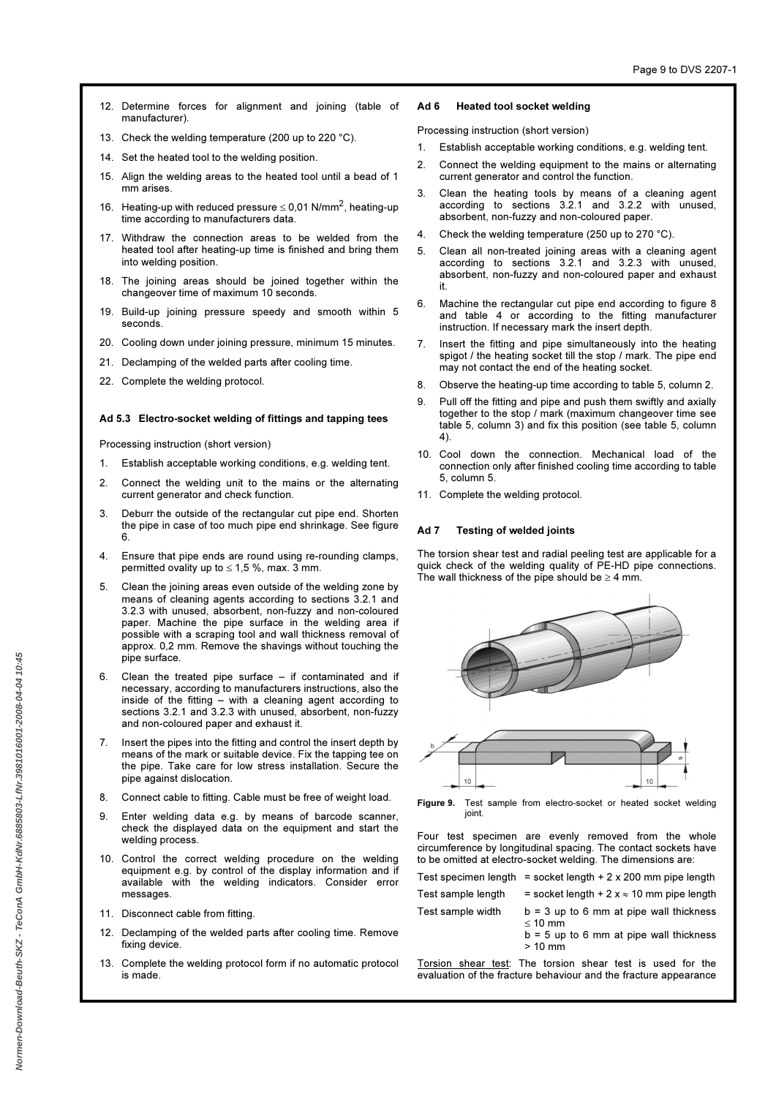- 12. Determine forces for alignment and joining (table of manufacturer).
- 13. Check the welding temperature (200 up to 220 °C).
- 14. Set the heated tool to the welding position.
- 15. Align the welding areas to the heated tool until a bead of 1 mm arises.
- 16. Heating-up with reduced pressure  $\leq$  0,01 N/mm<sup>2</sup>, heating-up time according to manufacturers data.
- 17. Withdraw the connection areas to be welded from the heated tool after heating-up time is finished and bring them into welding position.
- 18. The joining areas should be joined together within the changeover time of maximum 10 seconds.
- 19. Build-up joining pressure speedy and smooth within 5 seconds.
- 20. Cooling down under joining pressure, minimum 15 minutes.
- 21. Declamping of the welded parts after cooling time.
- 22. Complete the welding protocol.

### Ad 5.3 Electro-socket welding of fittings and tapping tees

Processing instruction (short version)

- 1. Establish acceptable working conditions, e.g. welding tent.
- 2. Connect the welding unit to the mains or the alternating current generator and check function.
- 3. Deburr the outside of the rectangular cut pipe end. Shorten the pipe in case of too much pipe end shrinkage. See figure 6.
- 4. Ensure that pipe ends are round using re-rounding clamps, permitted ovality up to  $\leq 1.5$  %, max. 3 mm.
- 5. Clean the joining areas even outside of the welding zone by means of cleaning agents according to sections 3.2.1 and 3.2.3 with unused, absorbent, non-fuzzy and non-coloured paper. Machine the pipe surface in the welding area if possible with a scraping tool and wall thickness removal of approx. 0,2 mm. Remove the shavings without touching the pipe surface.
- 6. Clean the treated pipe surface if contaminated and if necessary, according to manufacturers instructions, also the inside of the fitting – with a cleaning agent according to sections 3.2.1 and 3.2.3 with unused, absorbent, non-fuzzy and non-coloured paper and exhaust it.
- 7. Insert the pipes into the fitting and control the insert depth by means of the mark or suitable device. Fix the tapping tee on the pipe. Take care for low stress installation. Secure the pipe against dislocation.
- 8. Connect cable to fitting. Cable must be free of weight load.
- 9. Enter welding data e.g. by means of barcode scanner, check the displayed data on the equipment and start the welding process.
- 10. Control the correct welding procedure on the welding equipment e.g. by control of the display information and if available with the welding indicators. Consider error messages.
- 11. Disconnect cable from fitting.
- 12. Declamping of the welded parts after cooling time. Remove fixing device.
- 13. Complete the welding protocol form if no automatic protocol is made.

### Ad 6 Heated tool socket welding

Processing instruction (short version)

- 1. Establish acceptable working conditions, e.g. welding tent.
- 2. Connect the welding equipment to the mains or alternating current generator and control the function.
- 3. Clean the heating tools by means of a cleaning agent according to sections 3.2.1 and 3.2.2 with unused, absorbent, non-fuzzy and non-coloured paper.
- 4. Check the welding temperature (250 up to 270 °C).
- 5. Clean all non-treated joining areas with a cleaning agent according to sections 3.2.1 and 3.2.3 with unused, absorbent, non-fuzzy and non-coloured paper and exhaust it.
- 6. Machine the rectangular cut pipe end according to figure 8 and table 4 or according to the fitting manufacturer instruction. If necessary mark the insert depth.
- 7. Insert the fitting and pipe simultaneously into the heating spigot / the heating socket till the stop / mark. The pipe end may not contact the end of the heating socket.
- 8. Observe the heating-up time according to table 5, column 2.
- Pull off the fitting and pipe and push them swiftly and axially together to the stop / mark (maximum changeover time see table 5, column 3) and fix this position (see table 5, column 4).
- 10. Cool down the connection. Mechanical load of the connection only after finished cooling time according to table 5, column 5.
- 11. Complete the welding protocol.

#### Ad 7 Testing of welded joints

 $10$ 

The torsion shear test and radial peeling test are applicable for a quick check of the welding quality of PE-HD pipe connections. The wall thickness of the pipe should be  $\geq 4$  mm.





Four test specimen are evenly removed from the whole circumference by longitudinal spacing. The contact sockets have to be omitted at electro-socket welding. The dimensions are:

|                    | Test specimen length = socket length $+ 2 \times 200$ mm pipe length                                               |
|--------------------|--------------------------------------------------------------------------------------------------------------------|
| Test sample length | $=$ socket length + 2 x $\approx$ 10 mm pipe length                                                                |
| Test sample width  | $b = 3$ up to 6 mm at pipe wall thickness<br>$\leq 10$ mm<br>$b = 5$ up to 6 mm at pipe wall thickness<br>$>10$ mm |
|                    |                                                                                                                    |

Torsion shear test: The torsion shear test is used for the evaluation of the fracture behaviour and the fracture appearance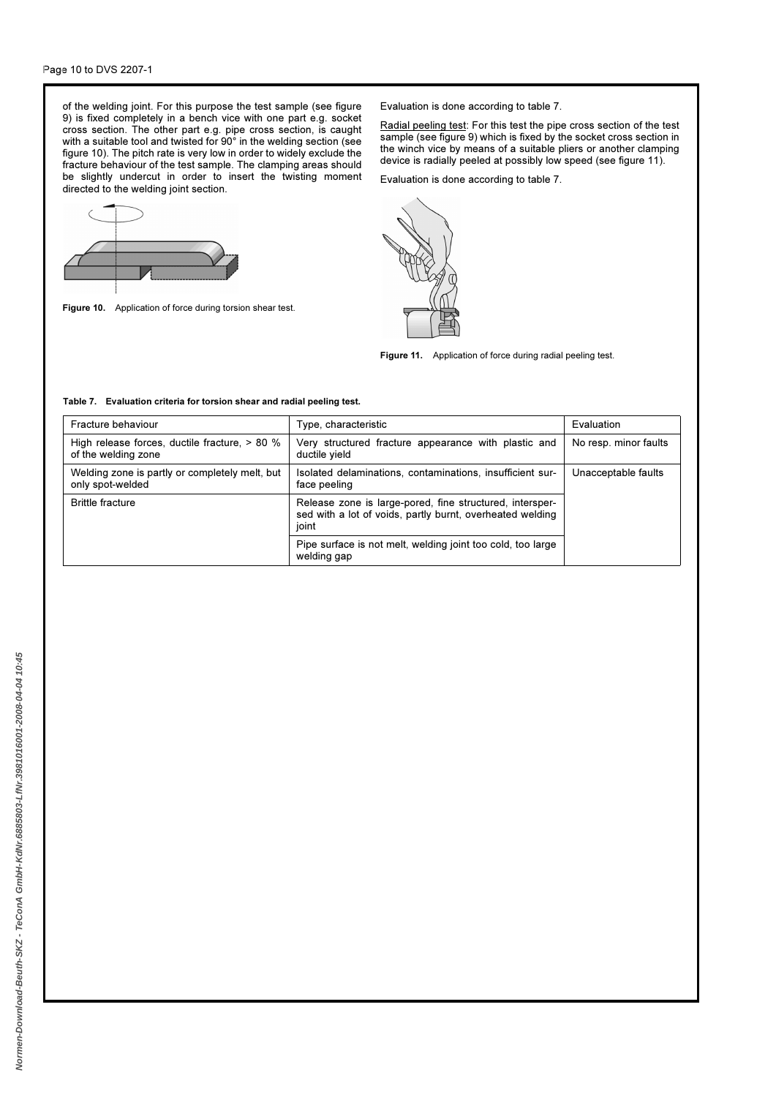of the welding joint. For this purpose the test sample (see figure 9) is fixed completely in a bench vice with one part e.g. socket cross section. The other part e.g. pipe cross section, is caught with a suitable tool and twisted for 90° in the welding section (see figure 10). The pitch rate is very low in order to widely exclude the fracture behaviour of the test sample. The clamping areas should be slightly undercut in order to insert the twisting moment directed to the welding joint section.



Figure 10. Application of force during torsion shear test.

Evaluation is done according to table 7.

Radial peeling test: For this test the pipe cross section of the test sample (see figure 9) which is fixed by the socket cross section in the winch vice by means of a suitable pliers or another clamping device is radially peeled at possibly low speed (see figure 11).

Evaluation is done according to table 7.



Figure 11. Application of force during radial peeling test.

### Table 7. Evaluation criteria for torsion shear and radial peeling test.

| Fracture behaviour                                                   | Type, characteristic                                                                                                           | Evaluation            |
|----------------------------------------------------------------------|--------------------------------------------------------------------------------------------------------------------------------|-----------------------|
| High release forces, ductile fracture, > 80 %<br>of the welding zone | Very structured fracture appearance with plastic and<br>ductile yield                                                          | No resp. minor faults |
| Welding zone is partly or completely melt, but<br>only spot-welded   | Isolated delaminations, contaminations, insufficient sur-<br>face peeling                                                      | Unacceptable faults   |
| <b>Brittle fracture</b>                                              | Release zone is large-pored, fine structured, intersper-<br>sed with a lot of voids, partly burnt, overheated welding<br>joint |                       |
|                                                                      | Pipe surface is not melt, welding joint too cold, too large<br>welding gap                                                     |                       |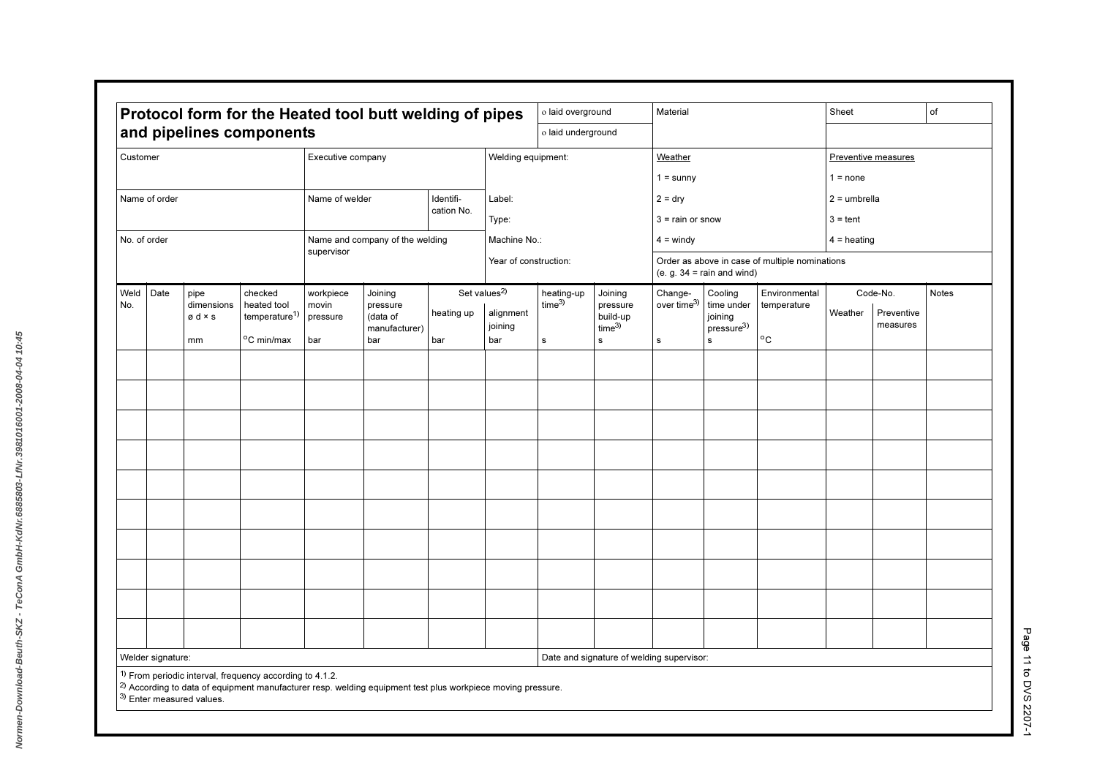| Protocol form for the Heated tool butt welding of pipes |                   |                                                |                                                     |                                |                                 | o laid overground |                                       |                                 | Material                        |                                           |                                                          | Sheet                                          |                                               | of                  |  |
|---------------------------------------------------------|-------------------|------------------------------------------------|-----------------------------------------------------|--------------------------------|---------------------------------|-------------------|---------------------------------------|---------------------------------|---------------------------------|-------------------------------------------|----------------------------------------------------------|------------------------------------------------|-----------------------------------------------|---------------------|--|
| and pipelines components                                |                   |                                                |                                                     |                                |                                 |                   | o laid underground                    |                                 |                                 |                                           |                                                          |                                                |                                               |                     |  |
| Customer<br>Executive company                           |                   |                                                |                                                     |                                |                                 |                   | Welding equipment:                    |                                 |                                 | Weather                                   |                                                          |                                                |                                               | Preventive measures |  |
|                                                         |                   |                                                |                                                     |                                |                                 |                   |                                       |                                 |                                 | $1 =$ sunny                               |                                                          |                                                | $1 = none$                                    |                     |  |
|                                                         | Name of order     |                                                |                                                     | Name of welder                 |                                 | Identifi-         | Label:                                |                                 |                                 | $2 = dry$                                 |                                                          |                                                | $2 =$ umbrella                                |                     |  |
|                                                         |                   |                                                |                                                     |                                |                                 | cation No.        | Type:                                 |                                 |                                 | $3 =$ rain or snow                        |                                                          |                                                | $3 = \text{tent}$                             |                     |  |
| No. of order                                            |                   |                                                |                                                     |                                | Name and company of the welding |                   | Machine No.:                          |                                 |                                 | $4 =$ windy                               |                                                          |                                                | $4 =$ heating                                 |                     |  |
|                                                         |                   |                                                |                                                     | supervisor                     |                                 |                   | Year of construction:                 |                                 |                                 |                                           | (e. g. $34 = \text{rain}$ and wind)                      | Order as above in case of multiple nominations |                                               |                     |  |
| Weld<br>No.                                             | Date              | pipe<br>dimensions<br>$\emptyset$ d $\times$ s | checked<br>heated tool<br>temperature <sup>1)</sup> | workpiece<br>movin<br>pressure | Joining<br>pressure<br>(data of | heating up        | Set values <sup>2)</sup><br>alignment | heating-up<br>time <sup>3</sup> | Joining<br>pressure<br>build-up | Change-<br>over time $3)$                 | Cooling<br>time under<br>joining<br>presure <sup>3</sup> | Environmental<br>temperature                   | Code-No.<br>Weather<br>Preventive<br>measures | <b>Notes</b>        |  |
|                                                         |                   | mm                                             | °C min/max                                          | bar                            | manufacturer)<br>bar            | bar               | joining<br>bar                        | $\mathbf s$                     | time <sup>3</sup><br>s          | $\mathbf s$                               | s                                                        | $\mathrm{^{o}C}$                               |                                               |                     |  |
|                                                         |                   |                                                |                                                     |                                |                                 |                   |                                       |                                 |                                 |                                           |                                                          |                                                |                                               |                     |  |
|                                                         |                   |                                                |                                                     |                                |                                 |                   |                                       |                                 |                                 |                                           |                                                          |                                                |                                               |                     |  |
|                                                         |                   |                                                |                                                     |                                |                                 |                   |                                       |                                 |                                 |                                           |                                                          |                                                |                                               |                     |  |
|                                                         |                   |                                                |                                                     |                                |                                 |                   |                                       |                                 |                                 |                                           |                                                          |                                                |                                               |                     |  |
|                                                         |                   |                                                |                                                     |                                |                                 |                   |                                       |                                 |                                 |                                           |                                                          |                                                |                                               |                     |  |
|                                                         |                   |                                                |                                                     |                                |                                 |                   |                                       |                                 |                                 |                                           |                                                          |                                                |                                               |                     |  |
|                                                         |                   |                                                |                                                     |                                |                                 |                   |                                       |                                 |                                 |                                           |                                                          |                                                |                                               |                     |  |
|                                                         |                   |                                                |                                                     |                                |                                 |                   |                                       |                                 |                                 |                                           |                                                          |                                                |                                               |                     |  |
|                                                         |                   |                                                |                                                     |                                |                                 |                   |                                       |                                 |                                 |                                           |                                                          |                                                |                                               |                     |  |
|                                                         |                   |                                                |                                                     |                                |                                 |                   |                                       |                                 |                                 |                                           |                                                          |                                                |                                               |                     |  |
|                                                         |                   |                                                |                                                     |                                |                                 |                   |                                       |                                 |                                 |                                           |                                                          |                                                |                                               |                     |  |
|                                                         |                   |                                                |                                                     |                                |                                 |                   |                                       |                                 |                                 |                                           |                                                          |                                                |                                               |                     |  |
|                                                         |                   |                                                |                                                     |                                |                                 |                   |                                       |                                 |                                 |                                           |                                                          |                                                |                                               |                     |  |
|                                                         |                   |                                                |                                                     |                                |                                 |                   |                                       |                                 |                                 |                                           |                                                          |                                                |                                               |                     |  |
|                                                         | Welder signature: |                                                |                                                     |                                |                                 |                   |                                       |                                 |                                 | Date and signature of welding supervisor: |                                                          |                                                |                                               |                     |  |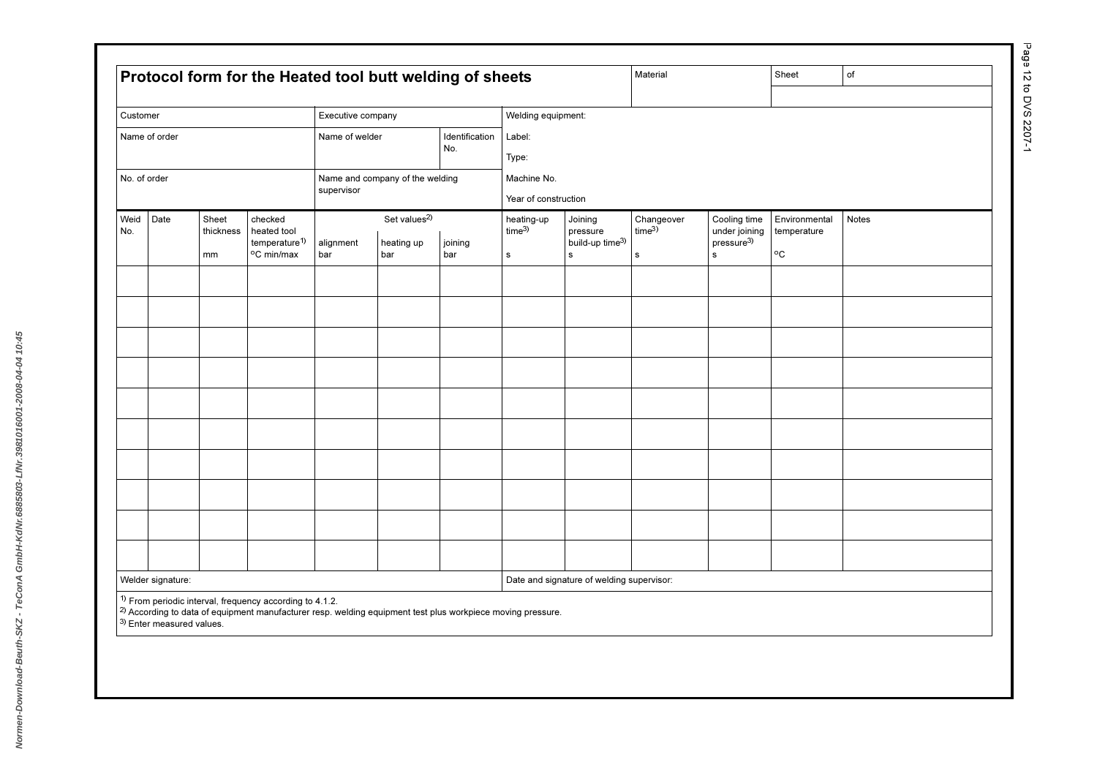| Customer    |                                                                                                             |                          |                                                                   | Executive company |                                               |                                | Welding equipment:               |                                           |                          |                                                        |                                                           |       |  |
|-------------|-------------------------------------------------------------------------------------------------------------|--------------------------|-------------------------------------------------------------------|-------------------|-----------------------------------------------|--------------------------------|----------------------------------|-------------------------------------------|--------------------------|--------------------------------------------------------|-----------------------------------------------------------|-------|--|
|             | Identification<br>Name of order<br>Name of welder<br>No.<br>Name and company of the welding<br>No. of order |                          |                                                                   |                   |                                               | Label:<br>Type:<br>Machine No. |                                  |                                           |                          |                                                        |                                                           |       |  |
|             |                                                                                                             |                          |                                                                   | supervisor        |                                               |                                | Year of construction             |                                           |                          |                                                        |                                                           |       |  |
| Weid<br>No. | Date                                                                                                        | Sheet<br>thickness<br>mm | checked<br>heated tool<br>temperature <sup>1)</sup><br>°C min/max | alignment         | Set values <sup>2)</sup><br>heating up<br>bar | joining<br>bar                 | heating-up<br>time <sup>3)</sup> | Joining<br>pressure<br>build-up time3)    | Changeover<br>$time^{3}$ | Cooling time<br>under joining<br>pressure <sup>3</sup> | Environmental<br>temperature<br>$^{\mathrm{o}}\mathrm{C}$ | Notes |  |
|             |                                                                                                             |                          |                                                                   | bar               |                                               |                                | s                                | s                                         | $\mathbf{s}$             | $\mathbf s$                                            |                                                           |       |  |
|             |                                                                                                             |                          |                                                                   |                   |                                               |                                |                                  |                                           |                          |                                                        |                                                           |       |  |
|             |                                                                                                             |                          |                                                                   |                   |                                               |                                |                                  |                                           |                          |                                                        |                                                           |       |  |
|             |                                                                                                             |                          |                                                                   |                   |                                               |                                |                                  |                                           |                          |                                                        |                                                           |       |  |
|             |                                                                                                             |                          |                                                                   |                   |                                               |                                |                                  |                                           |                          |                                                        |                                                           |       |  |
|             |                                                                                                             |                          |                                                                   |                   |                                               |                                |                                  |                                           |                          |                                                        |                                                           |       |  |
|             |                                                                                                             |                          |                                                                   |                   |                                               |                                |                                  |                                           |                          |                                                        |                                                           |       |  |
|             |                                                                                                             |                          |                                                                   |                   |                                               |                                |                                  |                                           |                          |                                                        |                                                           |       |  |
|             |                                                                                                             |                          |                                                                   |                   |                                               |                                |                                  |                                           |                          |                                                        |                                                           |       |  |
|             |                                                                                                             |                          |                                                                   |                   |                                               |                                |                                  |                                           |                          |                                                        |                                                           |       |  |
|             | Welder signature:                                                                                           |                          | $1)$ From periodic interval, frequency according to 4.1.2.        |                   |                                               |                                |                                  | Date and signature of welding supervisor: |                          |                                                        |                                                           |       |  |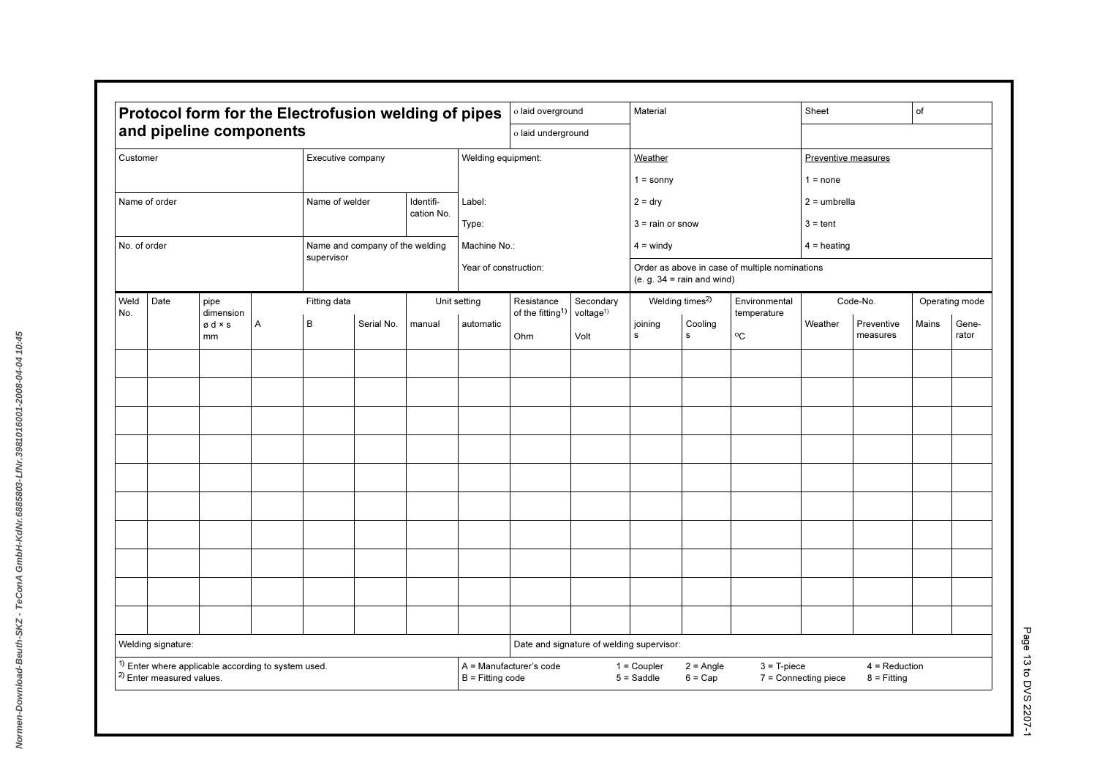| Protocol form for the Electrofusion welding of pipes                                                   |                                                  |                             |                                 |        | o laid overground     |                                     |                                           | Material                        |                                     |                                                | Sheet                                                    |                        | of             |                |  |
|--------------------------------------------------------------------------------------------------------|--------------------------------------------------|-----------------------------|---------------------------------|--------|-----------------------|-------------------------------------|-------------------------------------------|---------------------------------|-------------------------------------|------------------------------------------------|----------------------------------------------------------|------------------------|----------------|----------------|--|
|                                                                                                        | and pipeline components                          |                             |                                 |        |                       | o laid underground                  |                                           |                                 |                                     |                                                |                                                          |                        |                |                |  |
| Customer                                                                                               |                                                  | Executive company           |                                 |        | Welding equipment:    |                                     |                                           | Weather                         |                                     |                                                | Preventive measures                                      |                        |                |                |  |
|                                                                                                        |                                                  |                             |                                 |        |                       |                                     |                                           | $1 =$ sonny                     |                                     |                                                | $1 = none$                                               |                        |                |                |  |
| Name of order                                                                                          |                                                  | Name of welder<br>Identifi- |                                 |        | Label:<br>Type:       |                                     |                                           | $2 = dry$<br>$3 =$ rain or snow |                                     |                                                | $2 =$ umbrella<br>$3 = \text{tent}$                      |                        |                |                |  |
|                                                                                                        |                                                  | cation No.                  |                                 |        |                       |                                     |                                           |                                 |                                     |                                                |                                                          |                        |                |                |  |
| No. of order                                                                                           |                                                  |                             | Name and company of the welding |        |                       | Machine No.:                        |                                           |                                 | $4 =$ windy                         |                                                |                                                          | $4 =$ heating          |                |                |  |
|                                                                                                        |                                                  | supervisor                  |                                 |        | Year of construction: |                                     |                                           |                                 | (e. g. $34 = \text{rain}$ and wind) | Order as above in case of multiple nominations |                                                          |                        |                |                |  |
| Date<br>Weld                                                                                           | pipe                                             | Fitting data                |                                 |        | Unit setting          | Resistance                          | Secondary                                 | Welding times <sup>2)</sup>     |                                     | Environmental                                  | Code-No.                                                 |                        | Operating mode |                |  |
| No.                                                                                                    | dimension<br>Α<br>$\emptyset$ d $\times$ s<br>mm | B<br>Serial No.             |                                 | manual | automatic             | of the fitting <sup>1)</sup><br>Ohm | voltage <sup>1)</sup><br>Volt             | joining<br>s                    | Cooling<br>s                        | temperature<br>$^{\circ}$ C                    | Weather                                                  | Preventive<br>measures | Mains          | Gene-<br>rator |  |
|                                                                                                        |                                                  |                             |                                 |        |                       |                                     |                                           |                                 |                                     |                                                |                                                          |                        |                |                |  |
|                                                                                                        |                                                  |                             |                                 |        |                       |                                     |                                           |                                 |                                     |                                                |                                                          |                        |                |                |  |
|                                                                                                        |                                                  |                             |                                 |        |                       |                                     |                                           |                                 |                                     |                                                |                                                          |                        |                |                |  |
|                                                                                                        |                                                  |                             |                                 |        |                       |                                     |                                           |                                 |                                     |                                                |                                                          |                        |                |                |  |
|                                                                                                        |                                                  |                             |                                 |        |                       |                                     |                                           |                                 |                                     |                                                |                                                          |                        |                |                |  |
|                                                                                                        |                                                  |                             |                                 |        |                       |                                     |                                           |                                 |                                     |                                                |                                                          |                        |                |                |  |
|                                                                                                        |                                                  |                             |                                 |        |                       |                                     |                                           |                                 |                                     |                                                |                                                          |                        |                |                |  |
|                                                                                                        |                                                  |                             |                                 |        |                       |                                     |                                           |                                 |                                     |                                                |                                                          |                        |                |                |  |
|                                                                                                        |                                                  |                             |                                 |        |                       |                                     |                                           |                                 |                                     |                                                |                                                          |                        |                |                |  |
|                                                                                                        |                                                  |                             |                                 |        |                       |                                     |                                           |                                 |                                     |                                                |                                                          |                        |                |                |  |
|                                                                                                        |                                                  |                             |                                 |        |                       |                                     |                                           |                                 |                                     |                                                |                                                          |                        |                |                |  |
|                                                                                                        |                                                  |                             |                                 |        |                       |                                     |                                           |                                 |                                     |                                                |                                                          |                        |                |                |  |
|                                                                                                        |                                                  |                             |                                 |        |                       |                                     |                                           |                                 |                                     |                                                |                                                          |                        |                |                |  |
| Welding signature:                                                                                     |                                                  |                             |                                 |        |                       |                                     | Date and signature of welding supervisor: |                                 |                                     |                                                |                                                          |                        |                |                |  |
| <sup>1)</sup> Enter where applicable according to system used.<br><sup>2)</sup> Enter measured values. |                                                  |                             |                                 |        | $B =$ Fitting code    | A = Manufacturer's code             |                                           | $1 =$ Coupler<br>$5 = Saddle$   | $2 = Angle$<br>$6 = Cap$            | $3 = T$ -piece                                 | $4 =$ Reduction<br>7 = Connecting piece<br>$8 =$ Fitting |                        |                |                |  |